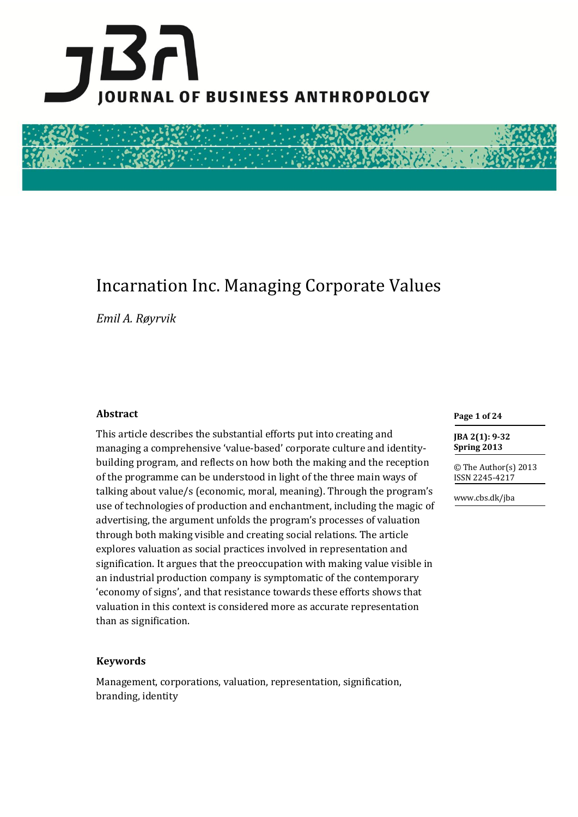

# Incarnation Inc. Managing Corporate Values

*Emil A. Røyrvik*

#### **Abstract**

This article describes the substantial efforts put into creating and managing a comprehensive 'value-based' corporate culture and identitybuilding program, and reflects on how both the making and the reception of the programme can be understood in light of the three main ways of talking about value/s (economic, moral, meaning). Through the program's use of technologies of production and enchantment, including the magic of advertising, the argument unfolds the program's processes of valuation through both making visible and creating social relations. The article explores valuation as social practices involved in representation and signification. It argues that the preoccupation with making value visible in an industrial production company is symptomatic of the contemporary 'economy of signs', and that resistance towards these efforts shows that valuation in this context is considered more as accurate representation than as signification.

#### **Keywords**

Management, corporations, valuation, representation, signification, branding, identity

**Page 1 of 24** 

**JBA 2(1): 9-32 Spring 2013**

© The Author(s) 2013 ISSN 2245-4217

www.cbs.dk/jba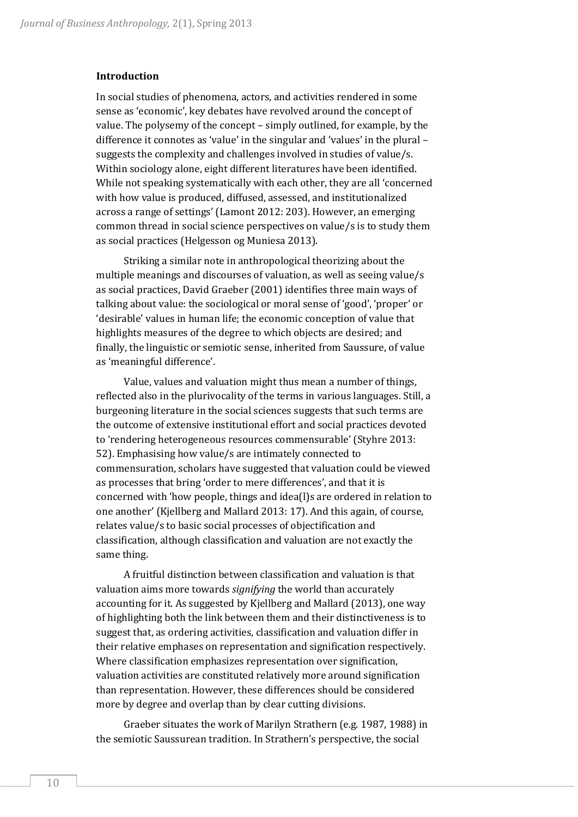#### **Introduction**

In social studies of phenomena, actors, and activities rendered in some sense as 'economic', key debates have revolved around the concept of value. The polysemy of the concept – simply outlined, for example, by the difference it connotes as 'value' in the singular and 'values' in the plural – suggests the complexity and challenges involved in studies of value/s. Within sociology alone, eight different literatures have been identified. While not speaking systematically with each other, they are all 'concerned with how value is produced, diffused, assessed, and institutionalized across a range of settings' (Lamont 2012: 203). However, an emerging common thread in social science perspectives on value/s is to study them as social practices (Helgesson og Muniesa 2013).

Striking a similar note in anthropological theorizing about the multiple meanings and discourses of valuation, as well as seeing value/s as social practices, David Graeber (2001) identifies three main ways of talking about value: the sociological or moral sense of 'good', 'proper' or 'desirable' values in human life; the economic conception of value that highlights measures of the degree to which objects are desired; and finally, the linguistic or semiotic sense, inherited from Saussure, of value as 'meaningful difference'.

Value, values and valuation might thus mean a number of things, reflected also in the plurivocality of the terms in various languages. Still, a burgeoning literature in the social sciences suggests that such terms are the outcome of extensive institutional effort and social practices devoted to 'rendering heterogeneous resources commensurable' (Styhre 2013: 52). Emphasising how value/s are intimately connected to commensuration, scholars have suggested that valuation could be viewed as processes that bring 'order to mere differences', and that it is concerned with 'how people, things and idea(l)s are ordered in relation to one another' (Kjellberg and Mallard 2013: 17). And this again, of course, relates value/s to basic social processes of objectification and classification, although classification and valuation are not exactly the same thing.

A fruitful distinction between classification and valuation is that valuation aims more towards *signifying* the world than accurately accounting for it. As suggested by Kjellberg and Mallard (2013), one way of highlighting both the link between them and their distinctiveness is to suggest that, as ordering activities, classification and valuation differ in their relative emphases on representation and signification respectively. Where classification emphasizes representation over signification, valuation activities are constituted relatively more around signification than representation. However, these differences should be considered more by degree and overlap than by clear cutting divisions.

Graeber situates the work of Marilyn Strathern (e.g. 1987, 1988) in the semiotic Saussurean tradition. In Strathern's perspective, the social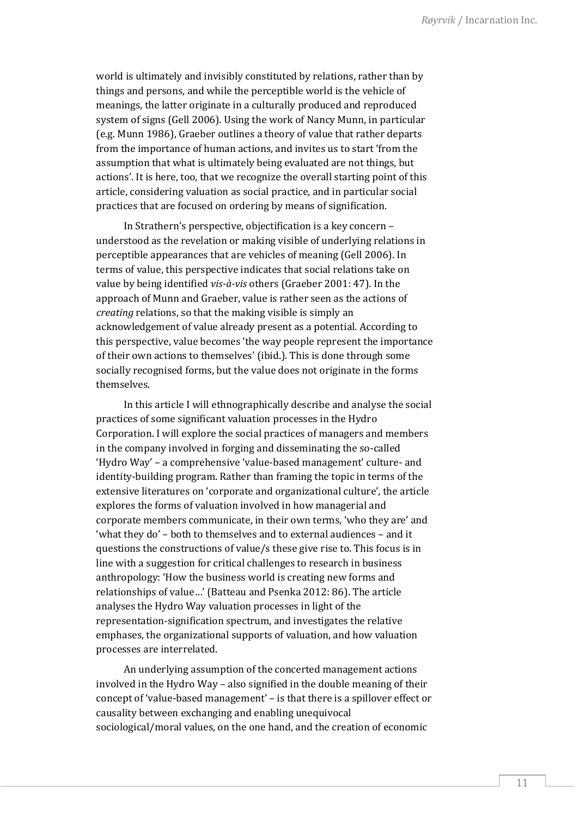world is ultimately and invisibly constituted by relations, rather than by things and persons, and while the perceptible world is the vehicle of meanings, the latter originate in a culturally produced and reproduced system of signs (Gell 2006). Using the work of Nancy Munn, in particular (e.g. Munn 1986), Graeber outlines a theory of value that rather departs from the importance of human actions, and invites us to start 'from the assumption that what is ultimately being evaluated are not things, but actions'. It is here, too, that we recognize the overall starting point of this article, considering valuation as social practice, and in particular social practices that are focused on ordering by means of signification.

In Strathern's perspective, objectification is a key concern – understood as the revelation or making visible of underlying relations in perceptible appearances that are vehicles of meaning (Gell 2006). In terms of value, this perspective indicates that social relations take on value by being identified *vis-à-vis* others (Graeber 2001: 47). In the approach of Munn and Graeber, value is rather seen as the actions of *creating* relations, so that the making visible is simply an acknowledgement of value already present as a potential. According to this perspective, value becomes 'the way people represent the importance of their own actions to themselves' (ibid.). This is done through some socially recognised forms, but the value does not originate in the forms themselves.

In this article I will ethnographically describe and analyse the social practices of some significant valuation processes in the Hydro Corporation. I will explore the social practices of managers and members in the company involved in forging and disseminating the so-called 'Hydro Way' – a comprehensive 'value-based management' culture- and identity-building program. Rather than framing the topic in terms of the extensive literatures on 'corporate and organizational culture', the article explores the forms of valuation involved in how managerial and corporate members communicate, in their own terms, 'who they are' and 'what they do' – both to themselves and to external audiences – and it questions the constructions of value/s these give rise to. This focus is in line with a suggestion for critical challenges to research in business anthropology: 'How the business world is creating new forms and relationships of value…' (Batteau and Psenka 2012: 86). The article analyses the Hydro Way valuation processes in light of the representation-signification spectrum, and investigates the relative emphases, the organizational supports of valuation, and how valuation processes are interrelated.

An underlying assumption of the concerted management actions involved in the Hydro Way – also signified in the double meaning of their concept of 'value-based management' – is that there is a spillover effect or causality between exchanging and enabling unequivocal sociological/moral values, on the one hand, and the creation of economic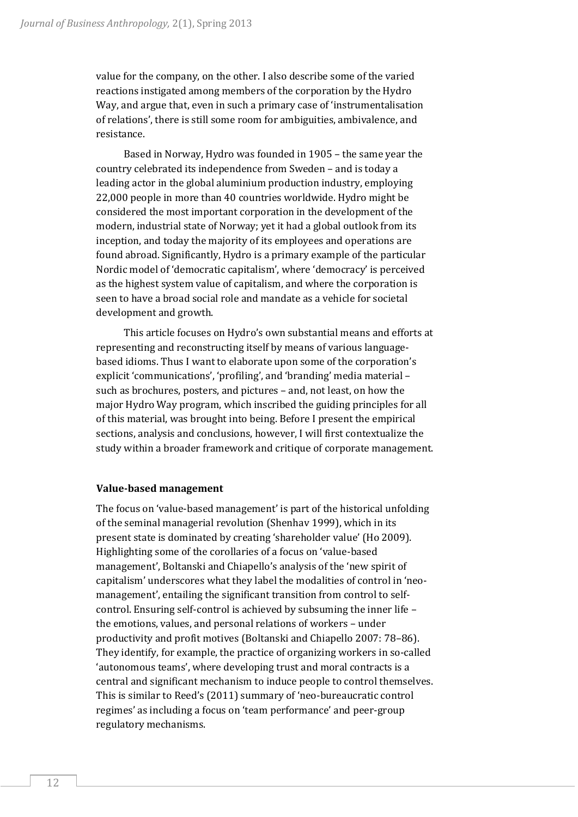value for the company, on the other. I also describe some of the varied reactions instigated among members of the corporation by the Hydro Way, and argue that, even in such a primary case of 'instrumentalisation of relations', there is still some room for ambiguities, ambivalence, and resistance.

Based in Norway, Hydro was founded in 1905 – the same year the country celebrated its independence from Sweden – and is today a leading actor in the global aluminium production industry, employing 22,000 people in more than 40 countries worldwide. Hydro might be considered the most important corporation in the development of the modern, industrial state of Norway; yet it had a global outlook from its inception, and today the majority of its employees and operations are found abroad. Significantly, Hydro is a primary example of the particular Nordic model of 'democratic capitalism', where 'democracy' is perceived as the highest system value of capitalism, and where the corporation is seen to have a broad social role and mandate as a vehicle for societal development and growth.

This article focuses on Hydro's own substantial means and efforts at representing and reconstructing itself by means of various languagebased idioms. Thus I want to elaborate upon some of the corporation's explicit 'communications', 'profiling', and 'branding' media material – such as brochures, posters, and pictures – and, not least, on how the major Hydro Way program, which inscribed the guiding principles for all of this material, was brought into being. Before I present the empirical sections, analysis and conclusions, however, I will first contextualize the study within a broader framework and critique of corporate management.

# **Value-based management**

The focus on 'value-based management' is part of the historical unfolding of the seminal managerial revolution (Shenhav 1999), which in its present state is dominated by creating 'shareholder value' (Ho 2009). Highlighting some of the corollaries of a focus on 'value-based management', Boltanski and Chiapello's analysis of the 'new spirit of capitalism' underscores what they label the modalities of control in 'neomanagement', entailing the significant transition from control to selfcontrol. Ensuring self-control is achieved by subsuming the inner life – the emotions, values, and personal relations of workers – under productivity and profit motives (Boltanski and Chiapello 2007: 78–86). They identify, for example, the practice of organizing workers in so-called 'autonomous teams', where developing trust and moral contracts is a central and significant mechanism to induce people to control themselves. This is similar to Reed's (2011) summary of 'neo-bureaucratic control regimes' as including a focus on 'team performance' and peer-group regulatory mechanisms.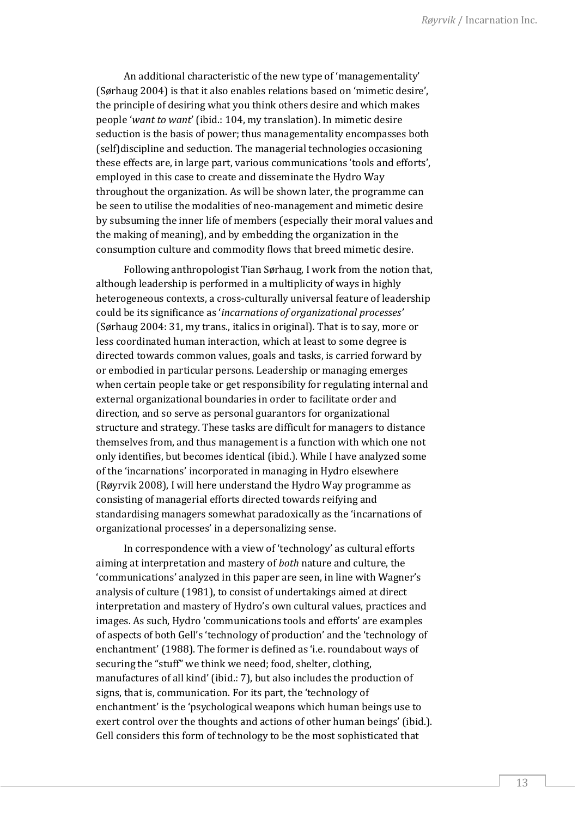An additional characteristic of the new type of 'managementality' (Sørhaug 2004) is that it also enables relations based on 'mimetic desire', the principle of desiring what you think others desire and which makes people '*want to want*' (ibid.: 104, my translation). In mimetic desire seduction is the basis of power; thus managementality encompasses both (self)discipline and seduction. The managerial technologies occasioning these effects are, in large part, various communications 'tools and efforts', employed in this case to create and disseminate the Hydro Way throughout the organization. As will be shown later, the programme can be seen to utilise the modalities of neo-management and mimetic desire by subsuming the inner life of members (especially their moral values and the making of meaning), and by embedding the organization in the consumption culture and commodity flows that breed mimetic desire.

Following anthropologist Tian Sørhaug, I work from the notion that, although leadership is performed in a multiplicity of ways in highly heterogeneous contexts, a cross-culturally universal feature of leadership could be its significance as '*incarnations of organizational processes'*  (Sørhaug 2004: 31, my trans., italics in original)*.* That is to say, more or less coordinated human interaction, which at least to some degree is directed towards common values, goals and tasks, is carried forward by or embodied in particular persons. Leadership or managing emerges when certain people take or get responsibility for regulating internal and external organizational boundaries in order to facilitate order and direction, and so serve as personal guarantors for organizational structure and strategy. These tasks are difficult for managers to distance themselves from, and thus management is a function with which one not only identifies, but becomes identical (ibid.). While I have analyzed some of the 'incarnations' incorporated in managing in Hydro elsewhere (Røyrvik 2008), I will here understand the Hydro Way programme as consisting of managerial efforts directed towards reifying and standardising managers somewhat paradoxically as the 'incarnations of organizational processes' in a depersonalizing sense.

In correspondence with a view of 'technology' as cultural efforts aiming at interpretation and mastery of *both* nature and culture, the 'communications' analyzed in this paper are seen, in line with Wagner's analysis of culture (1981), to consist of undertakings aimed at direct interpretation and mastery of Hydro's own cultural values, practices and images. As such, Hydro 'communications tools and efforts' are examples of aspects of both Gell's 'technology of production' and the 'technology of enchantment' (1988). The former is defined as 'i.e. roundabout ways of securing the "stuff" we think we need; food, shelter, clothing, manufactures of all kind' (ibid.: 7), but also includes the production of signs, that is, communication. For its part, the 'technology of enchantment' is the 'psychological weapons which human beings use to exert control over the thoughts and actions of other human beings' (ibid.). Gell considers this form of technology to be the most sophisticated that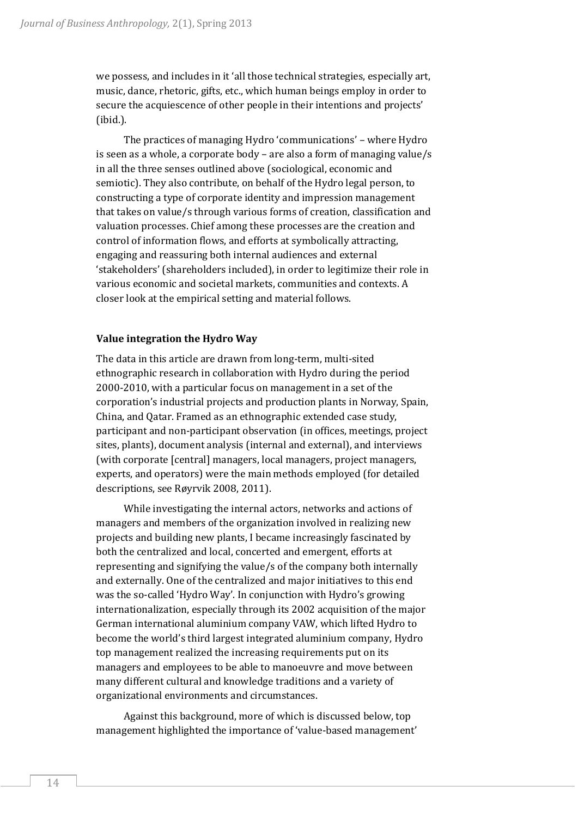we possess, and includes in it 'all those technical strategies, especially art, music, dance, rhetoric, gifts, etc., which human beings employ in order to secure the acquiescence of other people in their intentions and projects' (ibid.).

The practices of managing Hydro 'communications' – where Hydro is seen as a whole, a corporate body – are also a form of managing value/s in all the three senses outlined above (sociological, economic and semiotic). They also contribute, on behalf of the Hydro legal person, to constructing a type of corporate identity and impression management that takes on value/s through various forms of creation, classification and valuation processes. Chief among these processes are the creation and control of information flows, and efforts at symbolically attracting, engaging and reassuring both internal audiences and external 'stakeholders' (shareholders included), in order to legitimize their role in various economic and societal markets, communities and contexts. A closer look at the empirical setting and material follows.

# **Value integration the Hydro Way**

The data in this article are drawn from long-term, multi-sited ethnographic research in collaboration with Hydro during the period 2000-2010, with a particular focus on management in a set of the corporation's industrial projects and production plants in Norway, Spain, China, and Qatar. Framed as an ethnographic extended case study, participant and non-participant observation (in offices, meetings, project sites, plants), document analysis (internal and external), and interviews (with corporate [central] managers, local managers, project managers, experts, and operators) were the main methods employed (for detailed descriptions, see Røyrvik 2008, 2011).

While investigating the internal actors, networks and actions of managers and members of the organization involved in realizing new projects and building new plants, I became increasingly fascinated by both the centralized and local, concerted and emergent, efforts at representing and signifying the value/s of the company both internally and externally. One of the centralized and major initiatives to this end was the so-called 'Hydro Way'. In conjunction with Hydro's growing internationalization, especially through its 2002 acquisition of the major German international aluminium company VAW, which lifted Hydro to become the world's third largest integrated aluminium company, Hydro top management realized the increasing requirements put on its managers and employees to be able to manoeuvre and move between many different cultural and knowledge traditions and a variety of organizational environments and circumstances.

Against this background, more of which is discussed below, top management highlighted the importance of 'value-based management'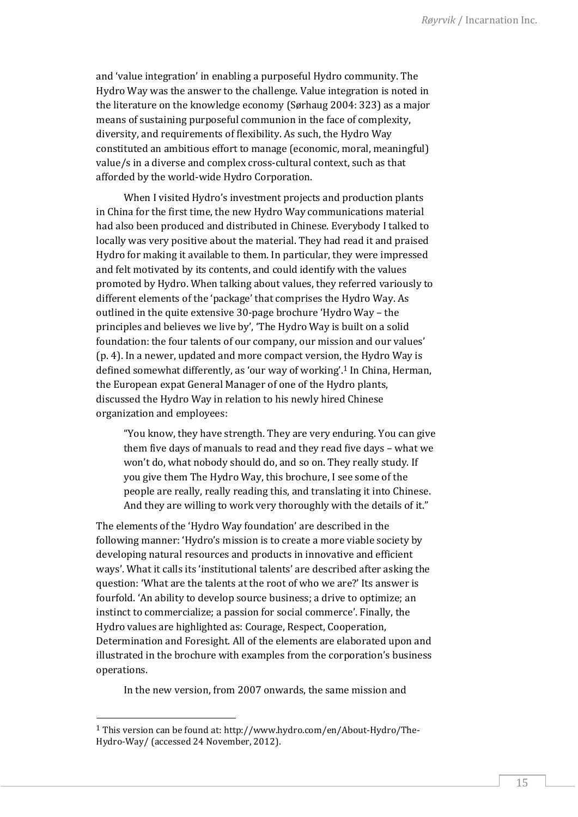and 'value integration' in enabling a purposeful Hydro community. The Hydro Way was the answer to the challenge. Value integration is noted in the literature on the knowledge economy (Sørhaug 2004: 323) as a major means of sustaining purposeful communion in the face of complexity, diversity, and requirements of flexibility. As such, the Hydro Way constituted an ambitious effort to manage (economic, moral, meaningful) value/s in a diverse and complex cross-cultural context, such as that afforded by the world-wide Hydro Corporation.

When I visited Hydro's investment projects and production plants in China for the first time, the new Hydro Way communications material had also been produced and distributed in Chinese. Everybody I talked to locally was very positive about the material. They had read it and praised Hydro for making it available to them. In particular, they were impressed and felt motivated by its contents, and could identify with the values promoted by Hydro. When talking about values, they referred variously to different elements of the 'package' that comprises the Hydro Way. As outlined in the quite extensive 30-page brochure 'Hydro Way – the principles and believes we live by', 'The Hydro Way is built on a solid foundation: the four talents of our company, our mission and our values' (p. 4). In a newer, updated and more compact version, the Hydro Way is defined somewhat differently, as 'our way of working'.<sup>1</sup> In China, Herman, the European expat General Manager of one of the Hydro plants, discussed the Hydro Way in relation to his newly hired Chinese organization and employees:

"You know, they have strength. They are very enduring. You can give them five days of manuals to read and they read five days – what we won't do, what nobody should do, and so on. They really study. If you give them The Hydro Way, this brochure, I see some of the people are really, really reading this, and translating it into Chinese. And they are willing to work very thoroughly with the details of it."

The elements of the 'Hydro Way foundation' are described in the following manner: 'Hydro's mission is to create a more viable society by developing natural resources and products in innovative and efficient ways'. What it calls its 'institutional talents' are described after asking the question: 'What are the talents at the root of who we are?' Its answer is fourfold. 'An ability to develop source business; a drive to optimize; an instinct to commercialize; a passion for social commerce'. Finally, the Hydro values are highlighted as: Courage, Respect, Cooperation, Determination and Foresight. All of the elements are elaborated upon and illustrated in the brochure with examples from the corporation's business operations.

In the new version, from 2007 onwards, the same mission and

<sup>1</sup> This version can be found at[: http://www.hydro.com/en/About-Hydro/The-](http://www.hydro.com/en/About-Hydro/The-Hydro-Way/)[Hydro-Way/](http://www.hydro.com/en/About-Hydro/The-Hydro-Way/) (accessed 24 November, 2012).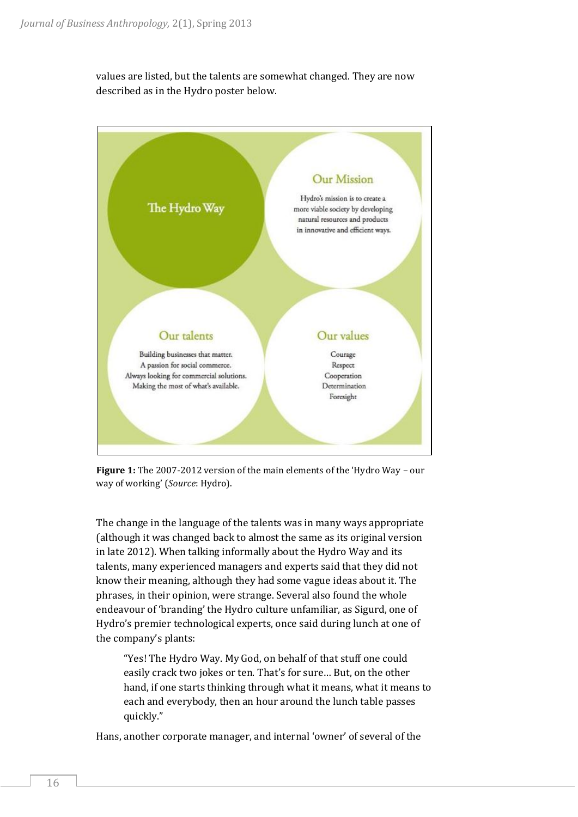values are listed, but the talents are somewhat changed. They are now described as in the Hydro poster below.



**Figure 1:** The 2007-2012 version of the main elements of the 'Hydro Way – our way of working' (*Source*: Hydro).

The change in the language of the talents was in many ways appropriate (although it was changed back to almost the same as its original version in late 2012). When talking informally about the Hydro Way and its talents, many experienced managers and experts said that they did not know their meaning, although they had some vague ideas about it. The phrases, in their opinion, were strange. Several also found the whole endeavour of 'branding' the Hydro culture unfamiliar, as Sigurd, one of Hydro's premier technological experts, once said during lunch at one of the company's plants:

"Yes! The Hydro Way. My God, on behalf of that stuff one could easily crack two jokes or ten. That's for sure… But, on the other hand, if one starts thinking through what it means, what it means to each and everybody, then an hour around the lunch table passes quickly."

Hans, another corporate manager, and internal 'owner' of several of the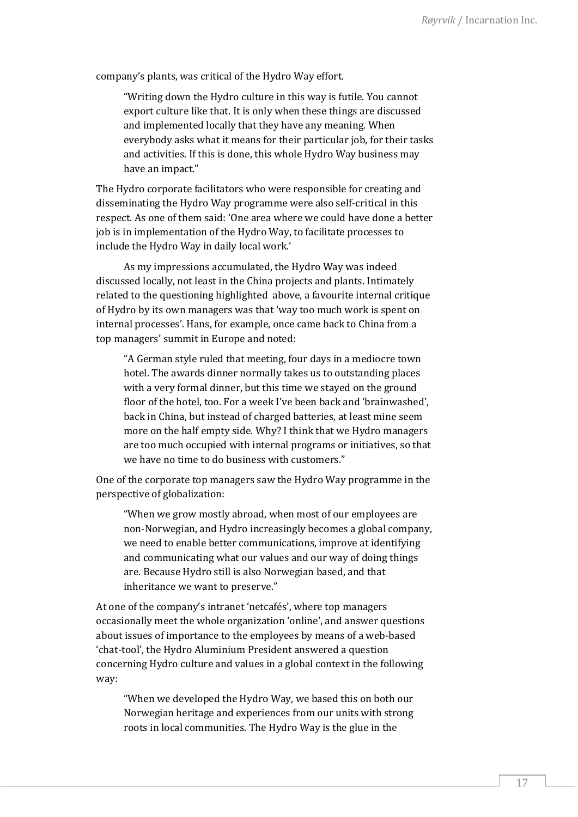company's plants, was critical of the Hydro Way effort.

"Writing down the Hydro culture in this way is futile. You cannot export culture like that. It is only when these things are discussed and implemented locally that they have any meaning. When everybody asks what it means for their particular job, for their tasks and activities. If this is done, this whole Hydro Way business may have an impact."

The Hydro corporate facilitators who were responsible for creating and disseminating the Hydro Way programme were also self-critical in this respect. As one of them said: 'One area where we could have done a better job is in implementation of the Hydro Way, to facilitate processes to include the Hydro Way in daily local work.'

As my impressions accumulated, the Hydro Way was indeed discussed locally, not least in the China projects and plants. Intimately related to the questioning highlighted above, a favourite internal critique of Hydro by its own managers was that 'way too much work is spent on internal processes'. Hans, for example, once came back to China from a top managers' summit in Europe and noted:

"A German style ruled that meeting, four days in a mediocre town hotel. The awards dinner normally takes us to outstanding places with a very formal dinner, but this time we stayed on the ground floor of the hotel, too. For a week I've been back and 'brainwashed', back in China, but instead of charged batteries, at least mine seem more on the half empty side. Why? I think that we Hydro managers are too much occupied with internal programs or initiatives, so that we have no time to do business with customers."

One of the corporate top managers saw the Hydro Way programme in the perspective of globalization:

"When we grow mostly abroad, when most of our employees are non-Norwegian, and Hydro increasingly becomes a global company, we need to enable better communications, improve at identifying and communicating what our values and our way of doing things are. Because Hydro still is also Norwegian based, and that inheritance we want to preserve."

At one of the company's intranet 'netcafés', where top managers occasionally meet the whole organization 'online', and answer questions about issues of importance to the employees by means of a web-based 'chat-tool', the Hydro Aluminium President answered a question concerning Hydro culture and values in a global context in the following way:

"When we developed the Hydro Way, we based this on both our Norwegian heritage and experiences from our units with strong roots in local communities. The Hydro Way is the glue in the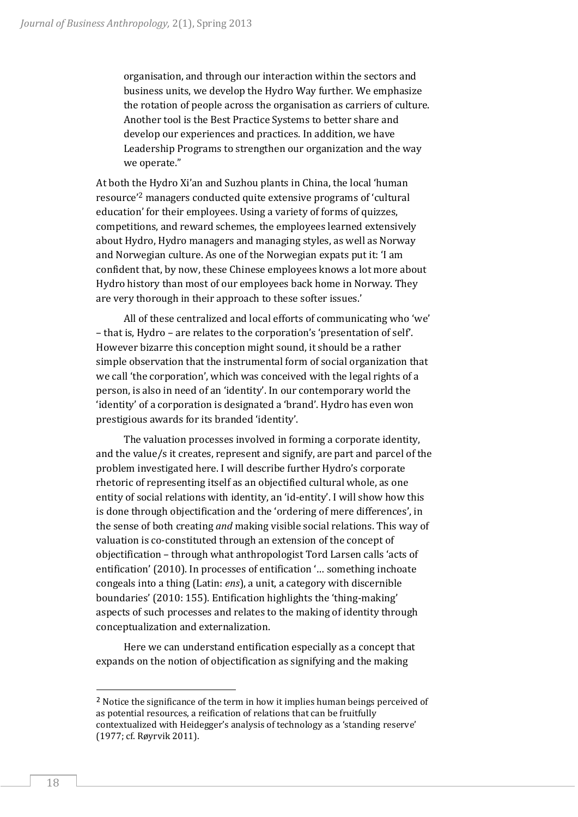organisation, and through our interaction within the sectors and business units, we develop the Hydro Way further. We emphasize the rotation of people across the organisation as carriers of culture. Another tool is the Best Practice Systems to better share and develop our experiences and practices. In addition, we have Leadership Programs to strengthen our organization and the way we operate."

At both the Hydro Xi'an and Suzhou plants in China, the local 'human resource'<sup>2</sup> managers conducted quite extensive programs of 'cultural education' for their employees. Using a variety of forms of quizzes, competitions, and reward schemes, the employees learned extensively about Hydro, Hydro managers and managing styles, as well as Norway and Norwegian culture. As one of the Norwegian expats put it: 'I am confident that, by now, these Chinese employees knows a lot more about Hydro history than most of our employees back home in Norway. They are very thorough in their approach to these softer issues.'

All of these centralized and local efforts of communicating who 'we' – that is, Hydro – are relates to the corporation's 'presentation of self'. However bizarre this conception might sound, it should be a rather simple observation that the instrumental form of social organization that we call 'the corporation', which was conceived with the legal rights of a person, is also in need of an 'identity'. In our contemporary world the 'identity' of a corporation is designated a 'brand'. Hydro has even won prestigious awards for its branded 'identity'.

The valuation processes involved in forming a corporate identity, and the value/s it creates, represent and signify, are part and parcel of the problem investigated here. I will describe further Hydro's corporate rhetoric of representing itself as an objectified cultural whole, as one entity of social relations with identity, an 'id-entity'. I will show how this is done through objectification and the 'ordering of mere differences', in the sense of both creating *and* making visible social relations. This way of valuation is co-constituted through an extension of the concept of objectification – through what anthropologist Tord Larsen calls 'acts of entification' (2010). In processes of entification '… something inchoate congeals into a thing (Latin: *ens*), a unit, a category with discernible boundaries' (2010: 155). Entification highlights the 'thing-making' aspects of such processes and relates to the making of identity through conceptualization and externalization.

Here we can understand entification especially as a concept that expands on the notion of objectification as signifying and the making

<sup>&</sup>lt;sup>2</sup> Notice the significance of the term in how it implies human beings perceived of as potential resources, a reification of relations that can be fruitfully contextualized with Heidegger's analysis of technology as a 'standing reserve' (1977; cf. Røyrvik 2011).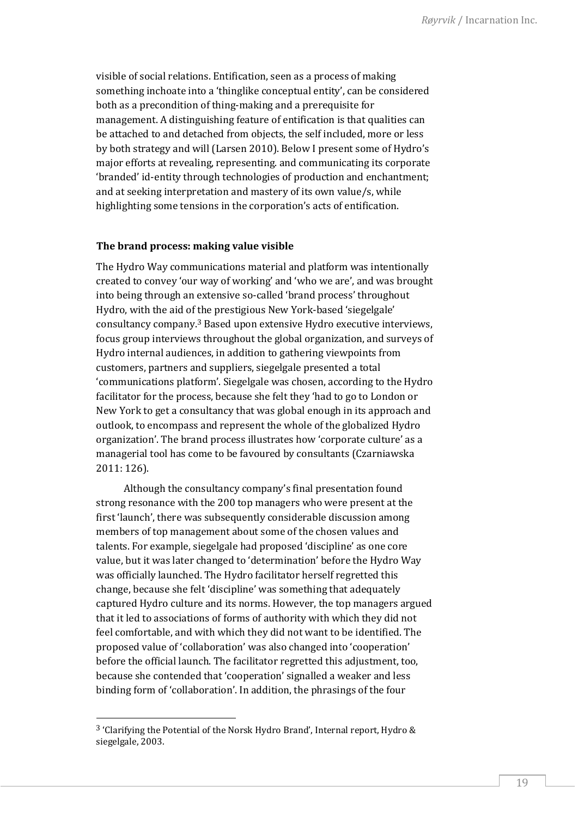visible of social relations. Entification, seen as a process of making something inchoate into a 'thinglike conceptual entity', can be considered both as a precondition of thing-making and a prerequisite for management. A distinguishing feature of entification is that qualities can be attached to and detached from objects, the self included, more or less by both strategy and will (Larsen 2010). Below I present some of Hydro's major efforts at revealing, representing. and communicating its corporate 'branded' id-entity through technologies of production and enchantment; and at seeking interpretation and mastery of its own value/s, while highlighting some tensions in the corporation's acts of entification.

# **The brand process: making value visible**

The Hydro Way communications material and platform was intentionally created to convey 'our way of working' and 'who we are', and was brought into being through an extensive so-called 'brand process' throughout Hydro, with the aid of the prestigious New York-based 'siegelgale' consultancy company.<sup>3</sup> Based upon extensive Hydro executive interviews, focus group interviews throughout the global organization, and surveys of Hydro internal audiences, in addition to gathering viewpoints from customers, partners and suppliers, siegelgale presented a total 'communications platform'. Siegelgale was chosen, according to the Hydro facilitator for the process, because she felt they 'had to go to London or New York to get a consultancy that was global enough in its approach and outlook, to encompass and represent the whole of the globalized Hydro organization'. The brand process illustrates how 'corporate culture' as a managerial tool has come to be favoured by consultants (Czarniawska 2011: 126).

Although the consultancy company's final presentation found strong resonance with the 200 top managers who were present at the first 'launch', there was subsequently considerable discussion among members of top management about some of the chosen values and talents. For example, siegelgale had proposed 'discipline' as one core value, but it was later changed to 'determination' before the Hydro Way was officially launched. The Hydro facilitator herself regretted this change, because she felt 'discipline' was something that adequately captured Hydro culture and its norms. However, the top managers argued that it led to associations of forms of authority with which they did not feel comfortable, and with which they did not want to be identified. The proposed value of 'collaboration' was also changed into 'cooperation' before the official launch. The facilitator regretted this adjustment, too, because she contended that 'cooperation' signalled a weaker and less binding form of 'collaboration'. In addition, the phrasings of the four

<sup>3</sup> 'Clarifying the Potential of the Norsk Hydro Brand', Internal report, Hydro & siegelgale, 2003.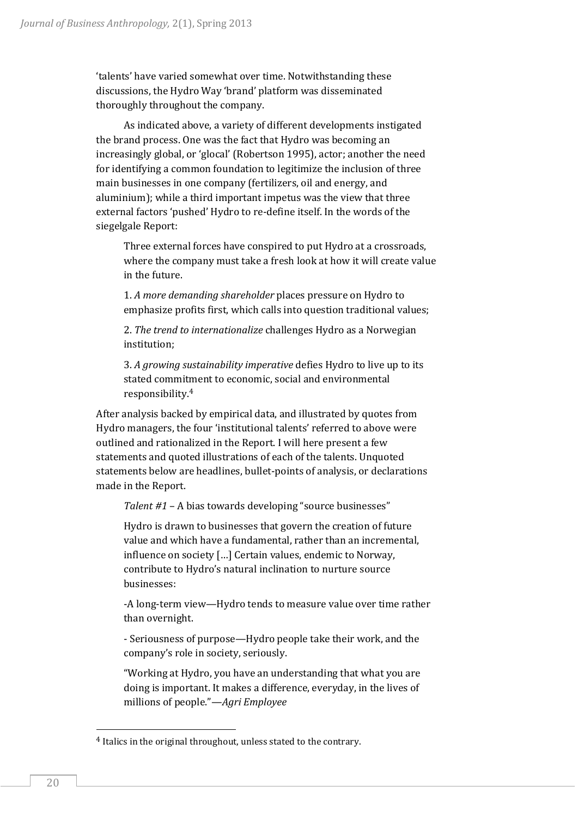'talents' have varied somewhat over time. Notwithstanding these discussions, the Hydro Way 'brand' platform was disseminated thoroughly throughout the company.

As indicated above, a variety of different developments instigated the brand process. One was the fact that Hydro was becoming an increasingly global, or 'glocal' (Robertson 1995), actor; another the need for identifying a common foundation to legitimize the inclusion of three main businesses in one company (fertilizers, oil and energy, and aluminium); while a third important impetus was the view that three external factors 'pushed' Hydro to re-define itself. In the words of the siegelgale Report:

Three external forces have conspired to put Hydro at a crossroads, where the company must take a fresh look at how it will create value in the future.

1. *A more demanding shareholder* places pressure on Hydro to emphasize profits first, which calls into question traditional values;

2. *The trend to internationalize* challenges Hydro as a Norwegian institution;

3. *A growing sustainability imperative* defies Hydro to live up to its stated commitment to economic, social and environmental responsibility.<sup>4</sup>

After analysis backed by empirical data, and illustrated by quotes from Hydro managers, the four 'institutional talents' referred to above were outlined and rationalized in the Report. I will here present a few statements and quoted illustrations of each of the talents. Unquoted statements below are headlines, bullet-points of analysis, or declarations made in the Report.

*Talent #1* – A bias towards developing "source businesses"

Hydro is drawn to businesses that govern the creation of future value and which have a fundamental, rather than an incremental, influence on society […] Certain values, endemic to Norway, contribute to Hydro's natural inclination to nurture source businesses:

-A long-term view—Hydro tends to measure value over time rather than overnight.

- Seriousness of purpose—Hydro people take their work, and the company's role in society, seriously.

"Working at Hydro, you have an understanding that what you are doing is important. It makes a difference, everyday, in the lives of millions of people."—*Agri Employee*

<sup>4</sup> Italics in the original throughout, unless stated to the contrary.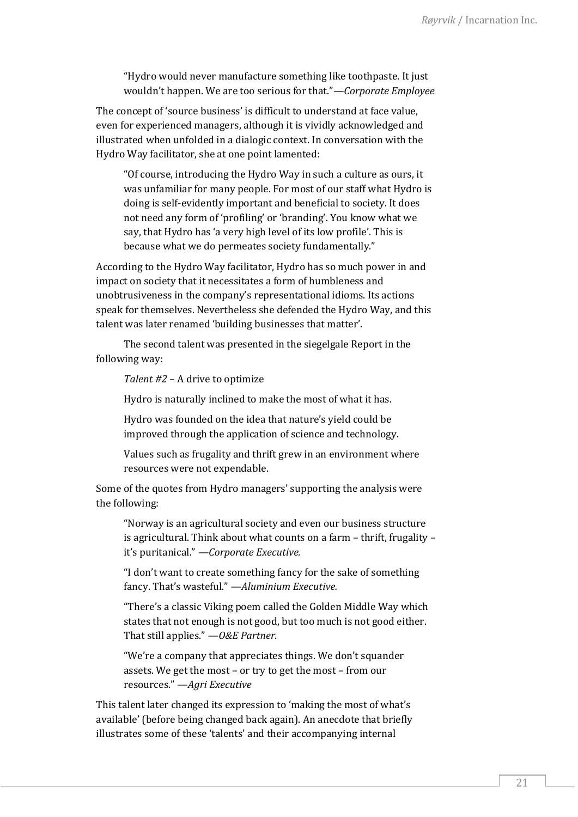"Hydro would never manufacture something like toothpaste. It just wouldn't happen. We are too serious for that."—*Corporate Employee*

The concept of 'source business' is difficult to understand at face value, even for experienced managers, although it is vividly acknowledged and illustrated when unfolded in a dialogic context. In conversation with the Hydro Way facilitator, she at one point lamented:

"Of course, introducing the Hydro Way in such a culture as ours, it was unfamiliar for many people. For most of our staff what Hydro is doing is self-evidently important and beneficial to society. It does not need any form of 'profiling' or 'branding'. You know what we say, that Hydro has 'a very high level of its low profile'. This is because what we do permeates society fundamentally."

According to the Hydro Way facilitator, Hydro has so much power in and impact on society that it necessitates a form of humbleness and unobtrusiveness in the company's representational idioms. Its actions speak for themselves. Nevertheless she defended the Hydro Way, and this talent was later renamed 'building businesses that matter'.

The second talent was presented in the siegelgale Report in the following way:

*Talent #2* – A drive to optimize

Hydro is naturally inclined to make the most of what it has.

Hydro was founded on the idea that nature's yield could be improved through the application of science and technology.

Values such as frugality and thrift grew in an environment where resources were not expendable.

Some of the quotes from Hydro managers' supporting the analysis were the following:

"Norway is an agricultural society and even our business structure is agricultural. Think about what counts on a farm – thrift, frugality – it's puritanical." *—Corporate Executive.*

"I don't want to create something fancy for the sake of something fancy. That's wasteful." *—Aluminium Executive.*

"There's a classic Viking poem called the Golden Middle Way which states that not enough is not good, but too much is not good either. That still applies." *—O&E Partner.*

"We're a company that appreciates things. We don't squander assets. We get the most – or try to get the most – from our resources." *—Agri Executive*

This talent later changed its expression to 'making the most of what's available' (before being changed back again). An anecdote that briefly illustrates some of these 'talents' and their accompanying internal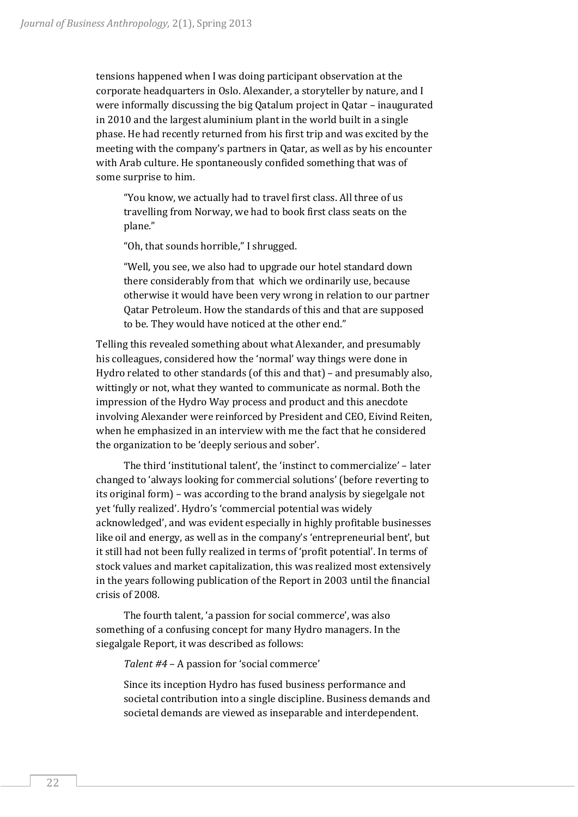tensions happened when I was doing participant observation at the corporate headquarters in Oslo. Alexander, a storyteller by nature, and I were informally discussing the big Qatalum project in Qatar – inaugurated in 2010 and the largest aluminium plant in the world built in a single phase. He had recently returned from his first trip and was excited by the meeting with the company's partners in Qatar, as well as by his encounter with Arab culture. He spontaneously confided something that was of some surprise to him.

"You know, we actually had to travel first class. All three of us travelling from Norway, we had to book first class seats on the plane."

"Oh, that sounds horrible," I shrugged.

"Well, you see, we also had to upgrade our hotel standard down there considerably from that which we ordinarily use, because otherwise it would have been very wrong in relation to our partner Qatar Petroleum. How the standards of this and that are supposed to be. They would have noticed at the other end."

Telling this revealed something about what Alexander, and presumably his colleagues, considered how the 'normal' way things were done in Hydro related to other standards (of this and that) – and presumably also, wittingly or not, what they wanted to communicate as normal. Both the impression of the Hydro Way process and product and this anecdote involving Alexander were reinforced by President and CEO, Eivind Reiten, when he emphasized in an interview with me the fact that he considered the organization to be 'deeply serious and sober'.

The third 'institutional talent', the 'instinct to commercialize' – later changed to 'always looking for commercial solutions' (before reverting to its original form) – was according to the brand analysis by siegelgale not yet 'fully realized'. Hydro's 'commercial potential was widely acknowledged', and was evident especially in highly profitable businesses like oil and energy, as well as in the company's 'entrepreneurial bent', but it still had not been fully realized in terms of 'profit potential'. In terms of stock values and market capitalization, this was realized most extensively in the years following publication of the Report in 2003 until the financial crisis of 2008.

The fourth talent, 'a passion for social commerce', was also something of a confusing concept for many Hydro managers. In the siegalgale Report, it was described as follows:

*Talent #4* – A passion for 'social commerce'

Since its inception Hydro has fused business performance and societal contribution into a single discipline. Business demands and societal demands are viewed as inseparable and interdependent.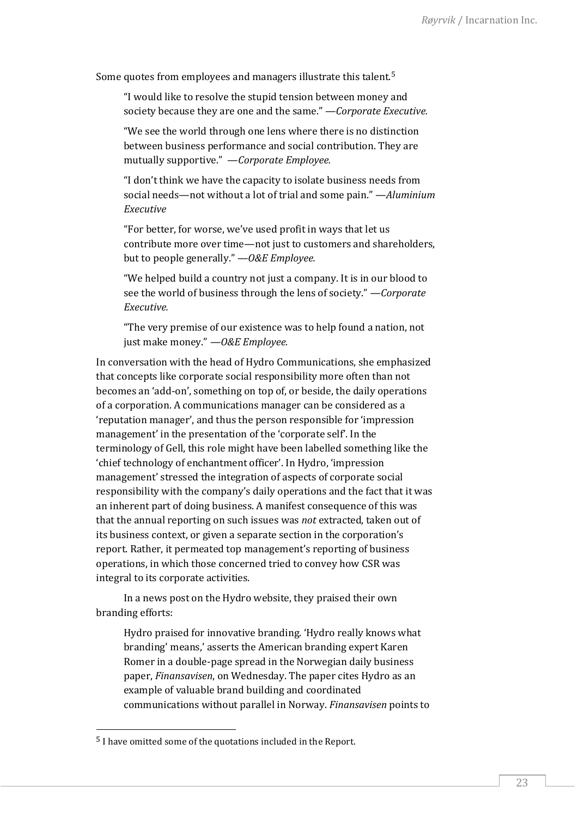Some quotes from employees and managers illustrate this talent.<sup>5</sup>

"I would like to resolve the stupid tension between money and society because they are one and the same." —*Corporate Executive.*

"We see the world through one lens where there is no distinction between business performance and social contribution. They are mutually supportive." —*Corporate Employee.*

"I don't think we have the capacity to isolate business needs from social needs—not without a lot of trial and some pain." —*Aluminium Executive*

"For better, for worse, we've used profit in ways that let us contribute more over time—not just to customers and shareholders, but to people generally." *—O&E Employee.*

"We helped build a country not just a company. It is in our blood to see the world of business through the lens of society." *—Corporate Executive.*

"The very premise of our existence was to help found a nation, not just make money." *—O&E Employee.*

In conversation with the head of Hydro Communications, she emphasized that concepts like corporate social responsibility more often than not becomes an 'add-on', something on top of, or beside, the daily operations of a corporation. A communications manager can be considered as a 'reputation manager', and thus the person responsible for 'impression management' in the presentation of the 'corporate self'. In the terminology of Gell, this role might have been labelled something like the 'chief technology of enchantment officer'. In Hydro, 'impression management' stressed the integration of aspects of corporate social responsibility with the company's daily operations and the fact that it was an inherent part of doing business. A manifest consequence of this was that the annual reporting on such issues was *not* extracted, taken out of its business context, or given a separate section in the corporation's report. Rather, it permeated top management's reporting of business operations, in which those concerned tried to convey how CSR was integral to its corporate activities.

In a news post on the Hydro website, they praised their own branding efforts:

Hydro praised for innovative branding. 'Hydro really knows what branding' means,' asserts the American branding expert Karen Romer in a double-page spread in the Norwegian daily business paper, *Finansavisen*, on Wednesday. The paper cites Hydro as an example of valuable brand building and coordinated communications without parallel in Norway. *Finansavisen* points to

<sup>5</sup> I have omitted some of the quotations included in the Report.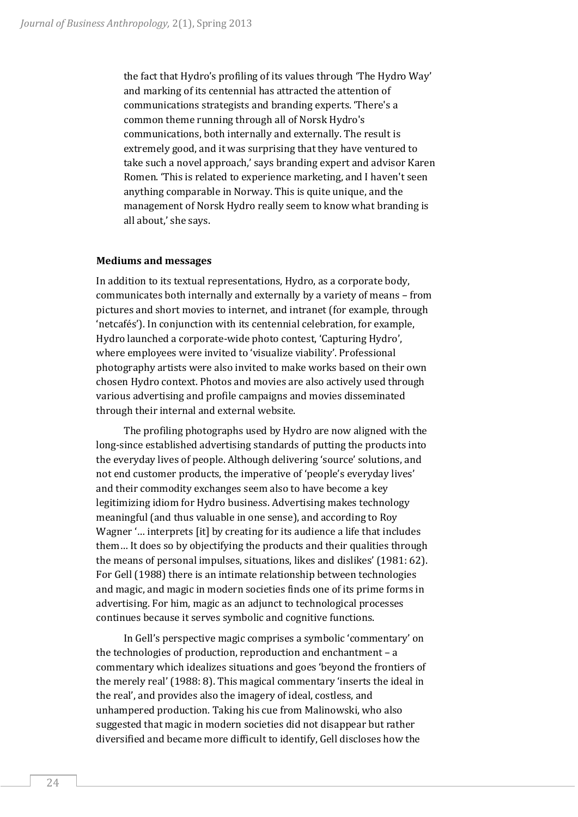the fact that Hydro's profiling of its values through 'The Hydro Way' and marking of its centennial has attracted the attention of communications strategists and branding experts. 'There's a common theme running through all of Norsk Hydro's communications, both internally and externally. The result is extremely good, and it was surprising that they have ventured to take such a novel approach,' says branding expert and advisor Karen Romen. 'This is related to experience marketing, and I haven't seen anything comparable in Norway. This is quite unique, and the management of Norsk Hydro really seem to know what branding is all about,' she says.

### **Mediums and messages**

In addition to its textual representations, Hydro, as a corporate body, communicates both internally and externally by a variety of means – from pictures and short movies to internet, and intranet (for example, through 'netcafés'). In conjunction with its centennial celebration, for example, Hydro launched a corporate-wide photo contest, 'Capturing Hydro', where employees were invited to 'visualize viability'. Professional photography artists were also invited to make works based on their own chosen Hydro context. Photos and movies are also actively used through various advertising and profile campaigns and movies disseminated through their internal and external website.

The profiling photographs used by Hydro are now aligned with the long-since established advertising standards of putting the products into the everyday lives of people. Although delivering 'source' solutions, and not end customer products, the imperative of 'people's everyday lives' and their commodity exchanges seem also to have become a key legitimizing idiom for Hydro business. Advertising makes technology meaningful (and thus valuable in one sense), and according to Roy Wagner '… interprets [it] by creating for its audience a life that includes them… It does so by objectifying the products and their qualities through the means of personal impulses, situations, likes and dislikes' (1981: 62). For Gell (1988) there is an intimate relationship between technologies and magic, and magic in modern societies finds one of its prime forms in advertising. For him, magic as an adjunct to technological processes continues because it serves symbolic and cognitive functions.

In Gell's perspective magic comprises a symbolic 'commentary' on the technologies of production, reproduction and enchantment – a commentary which idealizes situations and goes 'beyond the frontiers of the merely real' (1988: 8). This magical commentary 'inserts the ideal in the real', and provides also the imagery of ideal, costless, and unhampered production. Taking his cue from Malinowski, who also suggested that magic in modern societies did not disappear but rather diversified and became more difficult to identify, Gell discloses how the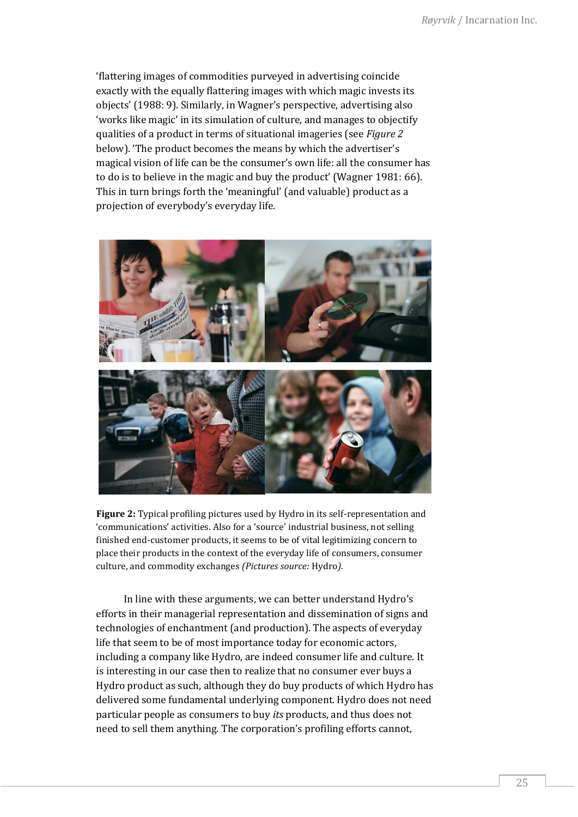'flattering images of commodities purveyed in advertising coincide exactly with the equally flattering images with which magic invests its objects' (1988: 9). Similarly, in Wagner's perspective, advertising also 'works like magic' in its simulation of culture, and manages to objectify qualities of a product in terms of situational imageries (see *Figure 2* below). 'The product becomes the means by which the advertiser's magical vision of life can be the consumer's own life: all the consumer has to do is to believe in the magic and buy the product' (Wagner 1981: 66). This in turn brings forth the 'meaningful' (and valuable) product as a projection of everybody's everyday life.



**Figure 2:** Typical profiling pictures used by Hydro in its self-representation and 'communications' activities. Also for a 'source' industrial business, not selling finished end-customer products, it seems to be of vital legitimizing concern to place their products in the context of the everyday life of consumers, consumer culture, and commodity exchanges *(Pictures source:* Hydro*).*

In line with these arguments, we can better understand Hydro's efforts in their managerial representation and dissemination of signs and technologies of enchantment (and production). The aspects of everyday life that seem to be of most importance today for economic actors, including a company like Hydro, are indeed consumer life and culture. It is interesting in our case then to realize that no consumer ever buys a Hydro product as such, although they do buy products of which Hydro has delivered some fundamental underlying component. Hydro does not need particular people as consumers to buy *its* products, and thus does not need to sell them anything. The corporation's profiling efforts cannot,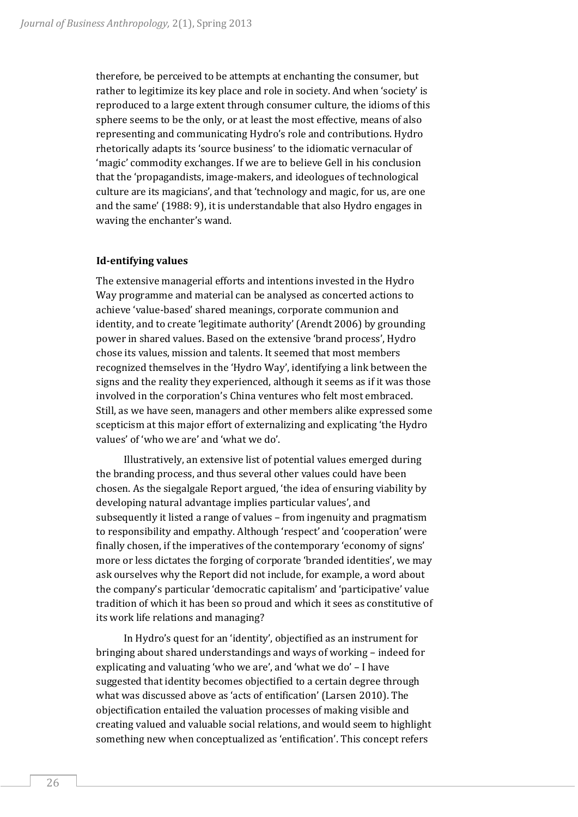therefore, be perceived to be attempts at enchanting the consumer, but rather to legitimize its key place and role in society. And when 'society' is reproduced to a large extent through consumer culture, the idioms of this sphere seems to be the only, or at least the most effective, means of also representing and communicating Hydro's role and contributions. Hydro rhetorically adapts its 'source business' to the idiomatic vernacular of 'magic' commodity exchanges. If we are to believe Gell in his conclusion that the 'propagandists, image-makers, and ideologues of technological culture are its magicians', and that 'technology and magic, for us, are one and the same' (1988: 9), it is understandable that also Hydro engages in waving the enchanter's wand.

### **Id-entifying values**

The extensive managerial efforts and intentions invested in the Hydro Way programme and material can be analysed as concerted actions to achieve 'value-based' shared meanings, corporate communion and identity, and to create 'legitimate authority' (Arendt 2006) by grounding power in shared values. Based on the extensive 'brand process', Hydro chose its values, mission and talents. It seemed that most members recognized themselves in the 'Hydro Way', identifying a link between the signs and the reality they experienced, although it seems as if it was those involved in the corporation's China ventures who felt most embraced. Still, as we have seen, managers and other members alike expressed some scepticism at this major effort of externalizing and explicating 'the Hydro values' of 'who we are' and 'what we do'.

Illustratively, an extensive list of potential values emerged during the branding process, and thus several other values could have been chosen. As the siegalgale Report argued, 'the idea of ensuring viability by developing natural advantage implies particular values', and subsequently it listed a range of values – from ingenuity and pragmatism to responsibility and empathy. Although 'respect' and 'cooperation' were finally chosen, if the imperatives of the contemporary 'economy of signs' more or less dictates the forging of corporate 'branded identities', we may ask ourselves why the Report did not include, for example, a word about the company's particular 'democratic capitalism' and 'participative' value tradition of which it has been so proud and which it sees as constitutive of its work life relations and managing?

In Hydro's quest for an 'identity', objectified as an instrument for bringing about shared understandings and ways of working – indeed for explicating and valuating 'who we are', and 'what we do' – I have suggested that identity becomes objectified to a certain degree through what was discussed above as 'acts of entification' (Larsen 2010). The objectification entailed the valuation processes of making visible and creating valued and valuable social relations, and would seem to highlight something new when conceptualized as 'entification'. This concept refers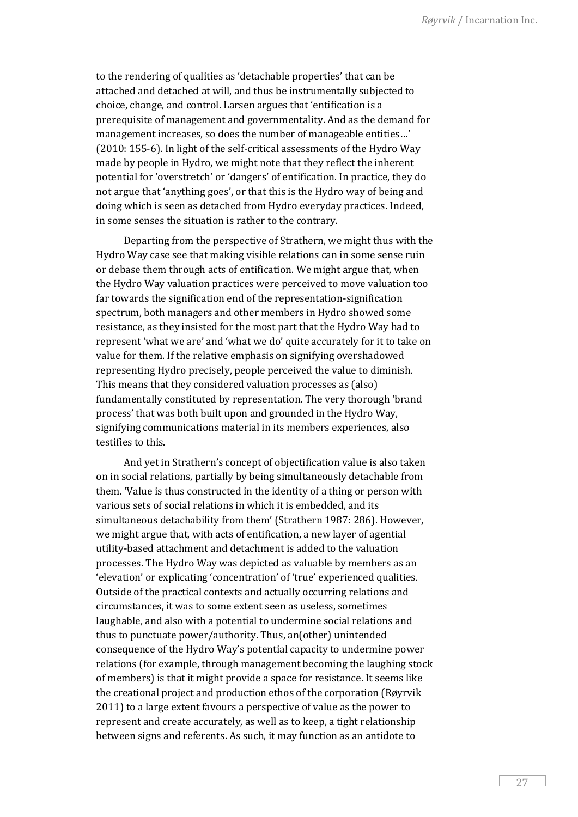to the rendering of qualities as 'detachable properties' that can be attached and detached at will, and thus be instrumentally subjected to choice, change, and control. Larsen argues that 'entification is a prerequisite of management and governmentality. And as the demand for management increases, so does the number of manageable entities…' (2010: 155-6). In light of the self-critical assessments of the Hydro Way made by people in Hydro, we might note that they reflect the inherent potential for 'overstretch' or 'dangers' of entification. In practice, they do not argue that 'anything goes', or that this is the Hydro way of being and doing which is seen as detached from Hydro everyday practices. Indeed, in some senses the situation is rather to the contrary.

Departing from the perspective of Strathern, we might thus with the Hydro Way case see that making visible relations can in some sense ruin or debase them through acts of entification. We might argue that, when the Hydro Way valuation practices were perceived to move valuation too far towards the signification end of the representation-signification spectrum, both managers and other members in Hydro showed some resistance, as they insisted for the most part that the Hydro Way had to represent 'what we are' and 'what we do' quite accurately for it to take on value for them. If the relative emphasis on signifying overshadowed representing Hydro precisely, people perceived the value to diminish. This means that they considered valuation processes as (also) fundamentally constituted by representation. The very thorough 'brand process' that was both built upon and grounded in the Hydro Way, signifying communications material in its members experiences, also testifies to this.

And yet in Strathern's concept of objectification value is also taken on in social relations, partially by being simultaneously detachable from them. 'Value is thus constructed in the identity of a thing or person with various sets of social relations in which it is embedded, and its simultaneous detachability from them' (Strathern 1987: 286). However, we might argue that, with acts of entification, a new layer of agential utility-based attachment and detachment is added to the valuation processes. The Hydro Way was depicted as valuable by members as an 'elevation' or explicating 'concentration' of 'true' experienced qualities. Outside of the practical contexts and actually occurring relations and circumstances, it was to some extent seen as useless, sometimes laughable, and also with a potential to undermine social relations and thus to punctuate power/authority. Thus, an(other) unintended consequence of the Hydro Way's potential capacity to undermine power relations (for example, through management becoming the laughing stock of members) is that it might provide a space for resistance. It seems like the creational project and production ethos of the corporation (Røyrvik 2011) to a large extent favours a perspective of value as the power to represent and create accurately, as well as to keep, a tight relationship between signs and referents. As such, it may function as an antidote to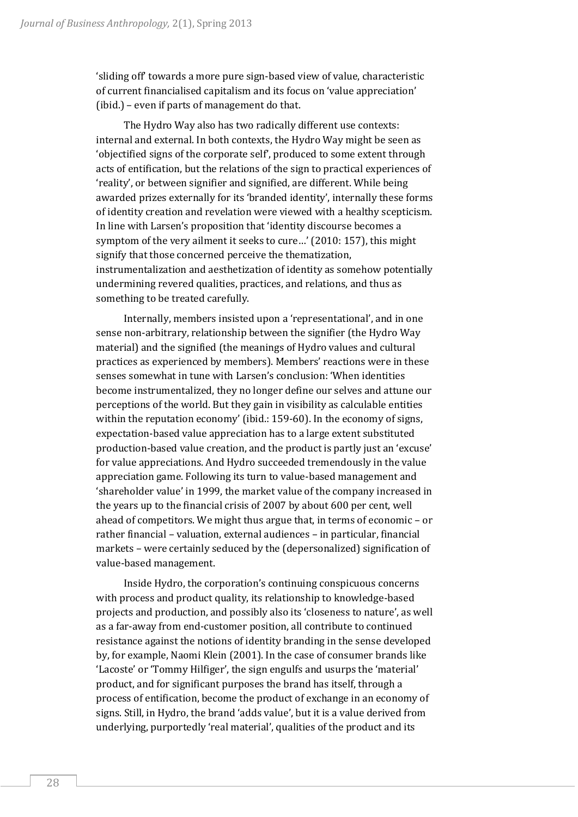'sliding off' towards a more pure sign-based view of value, characteristic of current financialised capitalism and its focus on 'value appreciation' (ibid.) – even if parts of management do that.

The Hydro Way also has two radically different use contexts: internal and external. In both contexts, the Hydro Way might be seen as 'objectified signs of the corporate self', produced to some extent through acts of entification, but the relations of the sign to practical experiences of 'reality', or between signifier and signified, are different. While being awarded prizes externally for its 'branded identity', internally these forms of identity creation and revelation were viewed with a healthy scepticism. In line with Larsen's proposition that 'identity discourse becomes a symptom of the very ailment it seeks to cure…' (2010: 157), this might signify that those concerned perceive the thematization, instrumentalization and aesthetization of identity as somehow potentially undermining revered qualities, practices, and relations, and thus as something to be treated carefully.

Internally, members insisted upon a 'representational', and in one sense non-arbitrary, relationship between the signifier (the Hydro Way material) and the signified (the meanings of Hydro values and cultural practices as experienced by members). Members' reactions were in these senses somewhat in tune with Larsen's conclusion: 'When identities become instrumentalized, they no longer define our selves and attune our perceptions of the world. But they gain in visibility as calculable entities within the reputation economy' (ibid.: 159-60). In the economy of signs, expectation-based value appreciation has to a large extent substituted production-based value creation, and the product is partly just an 'excuse' for value appreciations. And Hydro succeeded tremendously in the value appreciation game. Following its turn to value-based management and 'shareholder value' in 1999, the market value of the company increased in the years up to the financial crisis of 2007 by about 600 per cent, well ahead of competitors. We might thus argue that, in terms of economic – or rather financial – valuation, external audiences – in particular, financial markets – were certainly seduced by the (depersonalized) signification of value-based management.

Inside Hydro, the corporation's continuing conspicuous concerns with process and product quality, its relationship to knowledge-based projects and production, and possibly also its 'closeness to nature', as well as a far-away from end-customer position, all contribute to continued resistance against the notions of identity branding in the sense developed by, for example, Naomi Klein (2001). In the case of consumer brands like 'Lacoste' or 'Tommy Hilfiger', the sign engulfs and usurps the 'material' product, and for significant purposes the brand has itself, through a process of entification, become the product of exchange in an economy of signs. Still, in Hydro, the brand 'adds value', but it is a value derived from underlying, purportedly 'real material', qualities of the product and its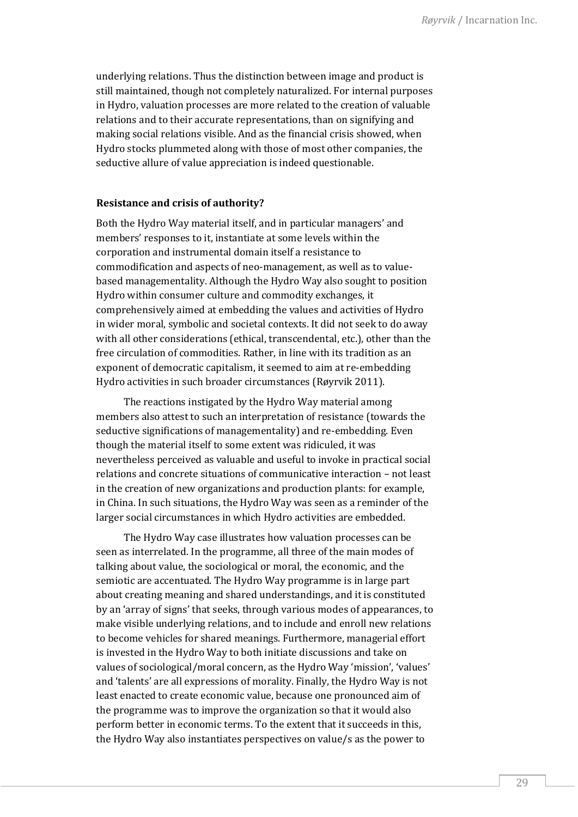underlying relations. Thus the distinction between image and product is still maintained, though not completely naturalized. For internal purposes in Hydro, valuation processes are more related to the creation of valuable relations and to their accurate representations, than on signifying and making social relations visible. And as the financial crisis showed, when Hydro stocks plummeted along with those of most other companies, the seductive allure of value appreciation is indeed questionable.

## **Resistance and crisis of authority?**

Both the Hydro Way material itself, and in particular managers' and members' responses to it, instantiate at some levels within the corporation and instrumental domain itself a resistance to commodification and aspects of neo-management, as well as to valuebased managementality. Although the Hydro Way also sought to position Hydro within consumer culture and commodity exchanges, it comprehensively aimed at embedding the values and activities of Hydro in wider moral, symbolic and societal contexts. It did not seek to do away with all other considerations (ethical, transcendental, etc.), other than the free circulation of commodities. Rather, in line with its tradition as an exponent of democratic capitalism, it seemed to aim at re-embedding Hydro activities in such broader circumstances (Røyrvik 2011).

The reactions instigated by the Hydro Way material among members also attest to such an interpretation of resistance (towards the seductive significations of managementality) and re-embedding. Even though the material itself to some extent was ridiculed, it was nevertheless perceived as valuable and useful to invoke in practical social relations and concrete situations of communicative interaction – not least in the creation of new organizations and production plants: for example, in China. In such situations, the Hydro Way was seen as a reminder of the larger social circumstances in which Hydro activities are embedded.

The Hydro Way case illustrates how valuation processes can be seen as interrelated. In the programme, all three of the main modes of talking about value, the sociological or moral, the economic, and the semiotic are accentuated. The Hydro Way programme is in large part about creating meaning and shared understandings, and it is constituted by an 'array of signs' that seeks, through various modes of appearances, to make visible underlying relations, and to include and enroll new relations to become vehicles for shared meanings. Furthermore, managerial effort is invested in the Hydro Way to both initiate discussions and take on values of sociological/moral concern, as the Hydro Way 'mission', 'values' and 'talents' are all expressions of morality. Finally, the Hydro Way is not least enacted to create economic value, because one pronounced aim of the programme was to improve the organization so that it would also perform better in economic terms. To the extent that it succeeds in this, the Hydro Way also instantiates perspectives on value/s as the power to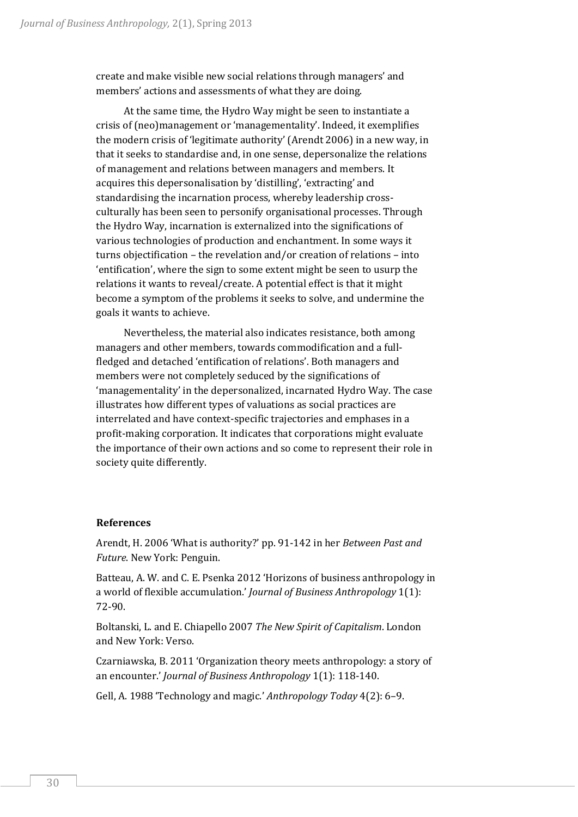create and make visible new social relations through managers' and members' actions and assessments of what they are doing.

At the same time, the Hydro Way might be seen to instantiate a crisis of (neo)management or 'managementality'. Indeed, it exemplifies the modern crisis of 'legitimate authority' (Arendt 2006) in a new way, in that it seeks to standardise and, in one sense, depersonalize the relations of management and relations between managers and members. It acquires this depersonalisation by 'distilling', 'extracting' and standardising the incarnation process, whereby leadership crossculturally has been seen to personify organisational processes. Through the Hydro Way, incarnation is externalized into the significations of various technologies of production and enchantment. In some ways it turns objectification – the revelation and/or creation of relations – into 'entification', where the sign to some extent might be seen to usurp the relations it wants to reveal/create. A potential effect is that it might become a symptom of the problems it seeks to solve, and undermine the goals it wants to achieve.

Nevertheless, the material also indicates resistance, both among managers and other members, towards commodification and a fullfledged and detached 'entification of relations'. Both managers and members were not completely seduced by the significations of 'managementality' in the depersonalized, incarnated Hydro Way. The case illustrates how different types of valuations as social practices are interrelated and have context-specific trajectories and emphases in a profit-making corporation. It indicates that corporations might evaluate the importance of their own actions and so come to represent their role in society quite differently.

# **References**

Arendt, H. 2006 'What is authority?' pp. 91-142 in her *Between Past and Future*. New York: Penguin.

Batteau, A. W. and C. E. Psenka 2012 'Horizons of business anthropology in a world of flexible accumulation.' *Journal of Business Anthropology* 1(1): 72-90.

Boltanski, L. and E. Chiapello 2007 *The New Spirit of Capitalism*. London and New York: Verso.

Czarniawska, B. 2011 'Organization theory meets anthropology: a story of an encounter.' *Journal of Business Anthropology* 1(1): 118-140.

Gell, A. 1988 'Technology and magic.' *Anthropology Today* 4(2): 6–9.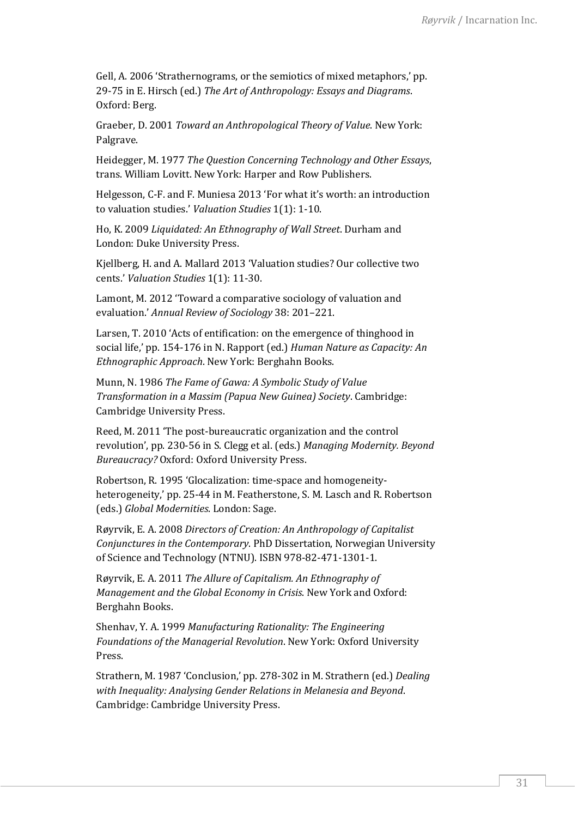Gell, A. 2006 'Strathernograms, or the semiotics of mixed metaphors,' pp. 29-75 in E. Hirsch (ed.) *The Art of Anthropology: Essays and Diagrams*. Oxford: Berg.

Graeber, D. 2001 *Toward an Anthropological Theory of Value*. New York: Palgrave.

Heidegger, M. 1977 *The Question Concerning Technology and Other Essays*, trans. William Lovitt. New York: Harper and Row Publishers.

Helgesson, C-F. and F. Muniesa 2013 ['For what it's worth: an introduction](http://dx.doi.org/10.3384/vs.2001-5992.13111)  [to valuation studies](http://dx.doi.org/10.3384/vs.2001-5992.13111).' *Valuation Studies* 1(1): 1-10.

Ho, K. 2009 *Liquidated: An Ethnography of Wall Street*. Durham and London: Duke University Press.

Kjellberg, H. and A. Mallard 2013 '[Valuation studies? Our collective two](http://dx.doi.org/10.3384/vs.2001-5992.131111)  [cents](http://dx.doi.org/10.3384/vs.2001-5992.131111).' *Valuation Studies* 1(1): 11-30.

Lamont, M. 2012 'Toward a comparative sociology of valuation and evaluation.' *Annual Review of Sociology* 38: 201–221.

Larsen, T. 2010 'Acts of entification: on the emergence of thinghood in social life,' pp. 154-176 in N. Rapport (ed.) *Human Nature as Capacity: An Ethnographic Approach*. New York: Berghahn Books.

Munn, N. 1986 *The Fame of Gawa: A Symbolic Study of Value Transformation in a Massim (Papua New Guinea) Society*. Cambridge: Cambridge University Press.

Reed, M. 2011 'The post-bureaucratic organization and the control revolution', pp. 230-56 in S. Clegg et al. (eds.) *Managing Modernity. Beyond Bureaucracy?* Oxford: Oxford University Press.

Robertson, R. 1995 'Glocalization: time-space and homogeneityheterogeneity,' pp. 25-44 in M. Featherstone, S. M. Lasch and R. Robertson (eds.) *Global Modernities*. London: Sage.

Røyrvik, E. A. 2008 *Directors of Creation: An Anthropology of Capitalist Conjunctures in the Contemporary*. PhD Dissertation, Norwegian University of Science and Technology (NTNU). ISBN 978-82-471-1301-1.

Røyrvik, E. A. 2011 *The Allure of Capitalism. An Ethnography of Management and the Global Economy in Crisis*. New York and Oxford: Berghahn Books.

Shenhav, Y. A. 1999 *Manufacturing Rationality: The Engineering Foundations of the Managerial Revolution*. New York: Oxford University Press.

Strathern, M. 1987 'Conclusion,' pp. 278-302 in M. Strathern (ed.) *Dealing with Inequality: Analysing Gender Relations in Melanesia and Beyond*. Cambridge: Cambridge University Press.